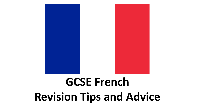

# **GCSE French Revision Tips and Advice**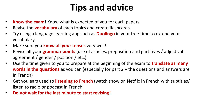# **Tips and advice**

- **Know the exam**! Know what is expected of you for each papers.
- Revise the **vocabulary** of each topics and create flashcards.
- Try using a language learning app such as **Duolingo** in your free time to extend your vocabulary.
- Make sure you **know all your tenses** very well!.
- Revise all your **grammar points** (use of articles, preposition and partitives / adjectival agreement / gender / position / etc.)
- Use the time given to you to prepare at the beginning of the exam to **translate as many words in the questions** as you can (especially for part 2 – the questions and answers are in French)
- Get you ears used to **listening to French** (watch show on Netflix in French with subtitles/ listen to radio or podcast in French)
- **Do not wait for the last minute to start revising!**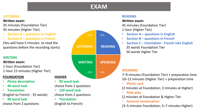### **EXAM**

#### **LISTENING**

#### **Written exam:**

- 35 minutes (Foundation Tier) 45 minutes (Higher Tier)
- **Section A – questions in English**
- **Section B – questions in French**

(You will have 5 minutes to read the questions before the recording starts) **LISTENING**

#### **WRITING**

#### **Written exam:**

- 1 hour (Foundation Tier)
- 1 hour 15 minutes (Higher Tier)

#### **FOUNDATION**

- **Photo description**
- **40 word task**
- **Translation**
- (English to French 35 words)
- **90 word task** choice from 2 questions



#### **READING**

#### **Written exam:**

45 minutes (Foundation Tier) 1 hour (Higher Tier)

- **Section A – questions in English**
- **Section B – questions in French**
- **Section C – translation - French into English**  35 words Foundation Tier 50 words Higher Tier

7–9 minutes (Foundation Tier) + preparation time 10–12 minutes (Higher Tier) + preparation time

• **Photo card**

(2 minutes at Foundation; 3 minutes at Higher)

• **Role-play** 

(2 minutes at Foundation & Higher Tier

• **General conversation**

(3–5 minutes Foundation; 5–7 minutes Higher)